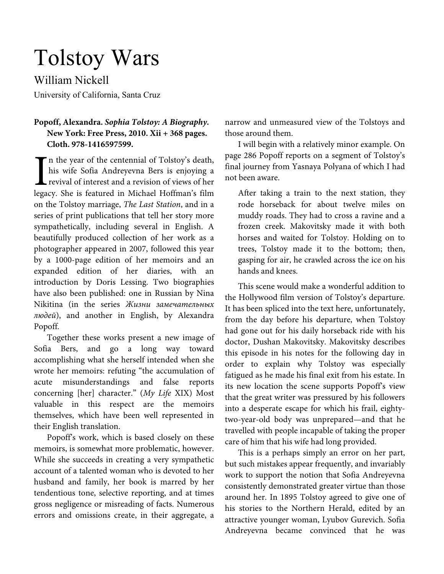# Tolstoy Wars

William Nickell

University of California, Santa Cruz

# **Popoff, Alexandra.** *Sophia Tolstoy: A Biography.*  **New York: Free Press, 2010. Xii + 368 pages. Cloth. 978-1416597599.**

n the year of the centennial of Tolstoy's death, his wife Sofia Andreyevna Bers is enjoying a revival of interest and a revision of views of her In the year of the centennial of Tolstoy's death,<br>his wife Sofia Andreyevna Bers is enjoying a<br>revival of interest and a revision of views of her<br>legacy. She is featured in Michael Hoffman's film on the Tolstoy marriage, The Last Station, and in a series of print publications that tell her story more sympathetically, including several in English. A beautifully produced collection of her work as a photographer appeared in 2007, followed this year by a 1000-page edition of her memoirs and an expanded edition of her diaries, with an introduction by Doris Lessing. Two biographies have also been published: one in Russian by Nina Nikitina (in the series Жизни замечательных людей), and another in English, by Alexandra Popoff.

Together these works present a new image of Sofia Bers, and go a long way toward accomplishing what she herself intended when she wrote her memoirs: refuting "the accumulation of acute misunderstandings and false reports concerning [her] character." (My Life XIX) Most valuable in this respect are the memoirs themselves, which have been well represented in their English translation.

Popoff's work, which is based closely on these memoirs, is somewhat more problematic, however. While she succeeds in creating a very sympathetic account of a talented woman who is devoted to her husband and family, her book is marred by her tendentious tone, selective reporting, and at times gross negligence or misreading of facts. Numerous errors and omissions create, in their aggregate, a

narrow and unmeasured view of the Tolstoys and those around them.

I will begin with a relatively minor example. On page 286 Popoff reports on a segment of Tolstoy's final journey from Yasnaya Polyana of which I had not been aware.

After taking a train to the next station, they rode horseback for about twelve miles on muddy roads. They had to cross a ravine and a frozen creek. Makovitsky made it with both horses and waited for Tolstoy. Holding on to trees, Tolstoy made it to the bottom; then, gasping for air, he crawled across the ice on his hands and knees.

This scene would make a wonderful addition to the Hollywood film version of Tolstoy's departure. It has been spliced into the text here, unfortunately, from the day before his departure, when Tolstoy had gone out for his daily horseback ride with his doctor, Dushan Makovitsky. Makovitsky describes this episode in his notes for the following day in order to explain why Tolstoy was especially fatigued as he made his final exit from his estate. In its new location the scene supports Popoff's view that the great writer was pressured by his followers into a desperate escape for which his frail, eightytwo-year-old body was unprepared—and that he travelled with people incapable of taking the proper care of him that his wife had long provided.

This is a perhaps simply an error on her part, but such mistakes appear frequently, and invariably work to support the notion that Sofia Andreyevna consistently demonstrated greater virtue than those around her. In 1895 Tolstoy agreed to give one of his stories to the Northern Herald, edited by an attractive younger woman, Lyubov Gurevich. Sofia Andreyevna became convinced that he was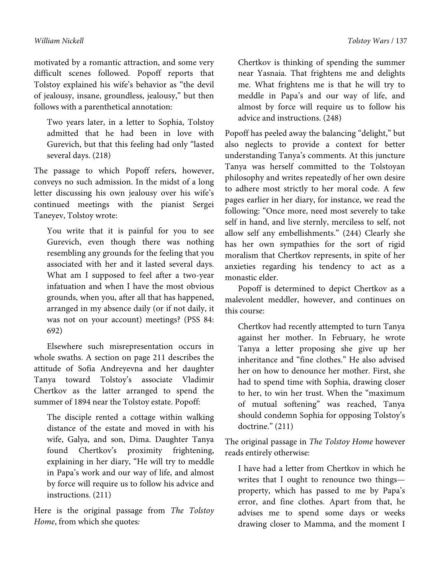motivated by a romantic attraction, and some very difficult scenes followed. Popoff reports that Tolstoy explained his wife's behavior as "the devil of jealousy, insane, groundless, jealousy," but then follows with a parenthetical annotation:

Two years later, in a letter to Sophia, Tolstoy admitted that he had been in love with Gurevich, but that this feeling had only "lasted several days. (218)

The passage to which Popoff refers, however, conveys no such admission. In the midst of a long letter discussing his own jealousy over his wife's continued meetings with the pianist Sergei Taneyev, Tolstoy wrote:

You write that it is painful for you to see Gurevich, even though there was nothing resembling any grounds for the feeling that you associated with her and it lasted several days. What am I supposed to feel after a two-year infatuation and when I have the most obvious grounds, when you, after all that has happened, arranged in my absence daily (or if not daily, it was not on your account) meetings? (PSS 84: 692)

Elsewhere such misrepresentation occurs in whole swaths. A section on page 211 describes the attitude of Sofia Andreyevna and her daughter Tanya toward Tolstoy's associate Vladimir Chertkov as the latter arranged to spend the summer of 1894 near the Tolstoy estate. Popoff:

The disciple rented a cottage within walking distance of the estate and moved in with his wife, Galya, and son, Dima. Daughter Tanya found Chertkov's proximity frightening, explaining in her diary, "He will try to meddle in Papa's work and our way of life, and almost by force will require us to follow his advice and instructions. (211)

Here is the original passage from The Tolstoy Home, from which she quotes:

Chertkov is thinking of spending the summer near Yasnaia. That frightens me and delights me. What frightens me is that he will try to meddle in Papa's and our way of life, and almost by force will require us to follow his advice and instructions. (248)

Popoff has peeled away the balancing "delight," but also neglects to provide a context for better understanding Tanya's comments. At this juncture Tanya was herself committed to the Tolstoyan philosophy and writes repeatedly of her own desire to adhere most strictly to her moral code. A few pages earlier in her diary, for instance, we read the following: "Once more, need most severely to take self in hand, and live sternly, merciless to self, not allow self any embellishments." (244) Clearly she has her own sympathies for the sort of rigid moralism that Chertkov represents, in spite of her anxieties regarding his tendency to act as a monastic elder.

Popoff is determined to depict Chertkov as a malevolent meddler, however, and continues on this course:

Chertkov had recently attempted to turn Tanya against her mother. In February, he wrote Tanya a letter proposing she give up her inheritance and "fine clothes." He also advised her on how to denounce her mother. First, she had to spend time with Sophia, drawing closer to her, to win her trust. When the "maximum of mutual softening" was reached, Tanya should condemn Sophia for opposing Tolstoy's doctrine." (211)

The original passage in The Tolstoy Home however reads entirely otherwise:

I have had a letter from Chertkov in which he writes that I ought to renounce two things property, which has passed to me by Papa's error, and fine clothes. Apart from that, he advises me to spend some days or weeks drawing closer to Mamma, and the moment I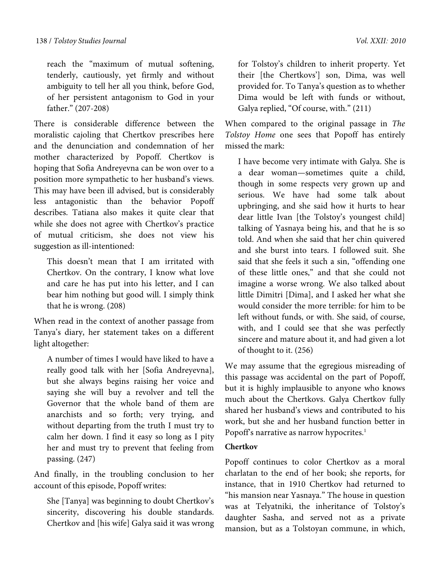reach the "maximum of mutual softening, tenderly, cautiously, yet firmly and without ambiguity to tell her all you think, before God, of her persistent antagonism to God in your father." (207-208)

There is considerable difference between the moralistic cajoling that Chertkov prescribes here and the denunciation and condemnation of her mother characterized by Popoff. Chertkov is hoping that Sofia Andreyevna can be won over to a position more sympathetic to her husband's views. This may have been ill advised, but is considerably less antagonistic than the behavior Popoff describes. Tatiana also makes it quite clear that while she does not agree with Chertkov's practice of mutual criticism, she does not view his suggestion as ill-intentioned:

This doesn't mean that I am irritated with Chertkov. On the contrary, I know what love and care he has put into his letter, and I can bear him nothing but good will. I simply think that he is wrong. (208)

When read in the context of another passage from Tanya's diary, her statement takes on a different light altogether:

A number of times I would have liked to have a really good talk with her [Sofia Andreyevna], but she always begins raising her voice and saying she will buy a revolver and tell the Governor that the whole band of them are anarchists and so forth; very trying, and without departing from the truth I must try to calm her down. I find it easy so long as I pity her and must try to prevent that feeling from passing. (247)

And finally, in the troubling conclusion to her account of this episode, Popoff writes:

She [Tanya] was beginning to doubt Chertkov's sincerity, discovering his double standards. Chertkov and [his wife] Galya said it was wrong for Tolstoy's children to inherit property. Yet their [the Chertkovs'] son, Dima, was well provided for. To Tanya's question as to whether Dima would be left with funds or without, Galya replied, "Of course, with." (211)

When compared to the original passage in The Tolstoy Home one sees that Popoff has entirely missed the mark:

I have become very intimate with Galya. She is a dear woman—sometimes quite a child, though in some respects very grown up and serious. We have had some talk about upbringing, and she said how it hurts to hear dear little Ivan [the Tolstoy's youngest child] talking of Yasnaya being his, and that he is so told. And when she said that her chin quivered and she burst into tears. I followed suit. She said that she feels it such a sin, "offending one of these little ones," and that she could not imagine a worse wrong. We also talked about little Dimitri [Dima], and I asked her what she would consider the more terrible: for him to be left without funds, or with. She said, of course, with, and I could see that she was perfectly sincere and mature about it, and had given a lot of thought to it. (256)

We may assume that the egregious misreading of this passage was accidental on the part of Popoff, but it is highly implausible to anyone who knows much about the Chertkovs. Galya Chertkov fully shared her husband's views and contributed to his work, but she and her husband function better in Popoff's narrative as narrow hypocrites.<sup>1</sup>

## **Chertkov**

Popoff continues to color Chertkov as a moral charlatan to the end of her book; she reports, for instance, that in 1910 Chertkov had returned to "his mansion near Yasnaya." The house in question was at Telyatniki, the inheritance of Tolstoy's daughter Sasha, and served not as a private mansion, but as a Tolstoyan commune, in which,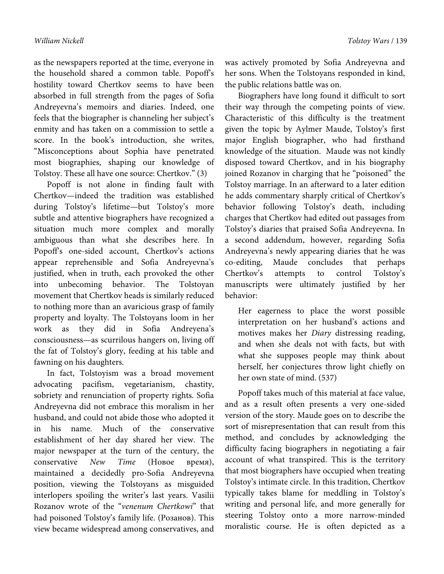as the newspapers reported at the time, everyone in the household shared a common table. Popoff's hostility toward Chertkov seems to have been absorbed in full strength from the pages of Sofia Andreyevna's memoirs and diaries. Indeed, one feels that the biographer is channeling her subject's enmity and has taken on a commission to settle a score. In the book's introduction, she writes, "Misconceptions about Sophia have penetrated most biographies, shaping our knowledge of Tolstoy. These all have one source: Chertkov." (3)

Popoff is not alone in finding fault with Chertkov—indeed the tradition was established during Tolstoy's lifetime—but Tolstoy's more subtle and attentive biographers have recognized a situation much more complex and morally ambiguous than what she describes here. In Popoff's one-sided account, Chertkov's actions appear reprehensible and Sofia Andreyevna's justified, when in truth, each provoked the other into unbecoming behavior. The Tolstoyan movement that Chertkov heads is similarly reduced to nothing more than an avaricious grasp of family property and loyalty. The Tolstoyans loom in her work as they did in Sofia Andreyena's consciousness—as scurrilous hangers on, living off the fat of Tolstoy's glory, feeding at his table and fawning on his daughters.

In fact, Tolstoyism was a broad movement advocating pacifism, vegetarianism, chastity, sobriety and renunciation of property rights. Sofia Andreyevna did not embrace this moralism in her husband, and could not abide those who adopted it in his name. Much of the conservative establishment of her day shared her view. The major newspaper at the turn of the century, the conservative New Time (Новое время), maintained a decidedly pro-Sofia Andreyevna position, viewing the Tolstoyans as misguided interlopers spoiling the writer's last years. Vasilii Rozanov wrote of the "venenum Chertkowi" that had poisoned Tolstoy's family life. (Розанов). This view became widespread among conservatives, and

was actively promoted by Sofia Andreyevna and her sons. When the Tolstoyans responded in kind, the public relations battle was on.

Biographers have long found it difficult to sort their way through the competing points of view. Characteristic of this difficulty is the treatment given the topic by Aylmer Maude, Tolstoy's first major English biographer, who had firsthand knowledge of the situation. Maude was not kindly disposed toward Chertkov, and in his biography joined Rozanov in charging that he "poisoned" the Tolstoy marriage. In an afterward to a later edition he adds commentary sharply critical of Chertkov's behavior following Tolstoy's death, including charges that Chertkov had edited out passages from Tolstoy's diaries that praised Sofia Andreyevna. In a second addendum, however, regarding Sofia Andreyevna's newly appearing diaries that he was co-editing, Maude concludes that perhaps Chertkov's attempts to control Tolstoy's manuscripts were ultimately justified by her behavior:

Her eagerness to place the worst possible interpretation on her husband's actions and motives makes her Diary distressing reading, and when she deals not with facts, but with what she supposes people may think about herself, her conjectures throw light chiefly on her own state of mind. (537)

Popoff takes much of this material at face value, and as a result often presents a very one-sided version of the story. Maude goes on to describe the sort of misrepresentation that can result from this method, and concludes by acknowledging the difficulty facing biographers in negotiating a fair account of what transpired. This is the territory that most biographers have occupied when treating Tolstoy's intimate circle. In this tradition, Chertkov typically takes blame for meddling in Tolstoy's writing and personal life, and more generally for steering Tolstoy onto a more narrow-minded moralistic course. He is often depicted as a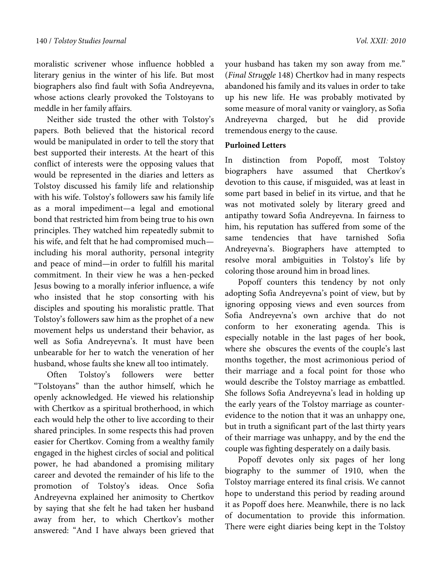moralistic scrivener whose influence hobbled a literary genius in the winter of his life. But most biographers also find fault with Sofia Andreyevna, whose actions clearly provoked the Tolstoyans to meddle in her family affairs.

Neither side trusted the other with Tolstoy's papers. Both believed that the historical record would be manipulated in order to tell the story that best supported their interests. At the heart of this conflict of interests were the opposing values that would be represented in the diaries and letters as Tolstoy discussed his family life and relationship with his wife. Tolstoy's followers saw his family life as a moral impediment—a legal and emotional bond that restricted him from being true to his own principles. They watched him repeatedly submit to his wife, and felt that he had compromised much including his moral authority, personal integrity and peace of mind—in order to fulfill his marital commitment. In their view he was a hen-pecked Jesus bowing to a morally inferior influence, a wife who insisted that he stop consorting with his disciples and spouting his moralistic prattle. That Tolstoy's followers saw him as the prophet of a new movement helps us understand their behavior, as well as Sofia Andreyevna's. It must have been unbearable for her to watch the veneration of her husband, whose faults she knew all too intimately.

Often Tolstoy's followers were better "Tolstoyans" than the author himself, which he openly acknowledged. He viewed his relationship with Chertkov as a spiritual brotherhood, in which each would help the other to live according to their shared principles. In some respects this had proven easier for Chertkov. Coming from a wealthy family engaged in the highest circles of social and political power, he had abandoned a promising military career and devoted the remainder of his life to the promotion of Tolstoy's ideas. Once Sofia Andreyevna explained her animosity to Chertkov by saying that she felt he had taken her husband away from her, to which Chertkov's mother answered: "And I have always been grieved that

your husband has taken my son away from me." (Final Struggle 148) Chertkov had in many respects abandoned his family and its values in order to take up his new life. He was probably motivated by some measure of moral vanity or vainglory, as Sofia Andreyevna charged, but he did provide tremendous energy to the cause.

# **Purloined Letters**

In distinction from Popoff, most Tolstoy biographers have assumed that Chertkov's devotion to this cause, if misguided, was at least in some part based in belief in its virtue, and that he was not motivated solely by literary greed and antipathy toward Sofia Andreyevna. In fairness to him, his reputation has suffered from some of the same tendencies that have tarnished Sofia Andreyevna's. Biographers have attempted to resolve moral ambiguities in Tolstoy's life by coloring those around him in broad lines.

Popoff counters this tendency by not only adopting Sofia Andreyevna's point of view, but by ignoring opposing views and even sources from Sofia Andreyevna's own archive that do not conform to her exonerating agenda. This is especially notable in the last pages of her book, where she obscures the events of the couple's last months together, the most acrimonious period of their marriage and a focal point for those who would describe the Tolstoy marriage as embattled. She follows Sofia Andreyevna's lead in holding up the early years of the Tolstoy marriage as counterevidence to the notion that it was an unhappy one, but in truth a significant part of the last thirty years of their marriage was unhappy, and by the end the couple was fighting desperately on a daily basis.

Popoff devotes only six pages of her long biography to the summer of 1910, when the Tolstoy marriage entered its final crisis. We cannot hope to understand this period by reading around it as Popoff does here. Meanwhile, there is no lack of documentation to provide this information. There were eight diaries being kept in the Tolstoy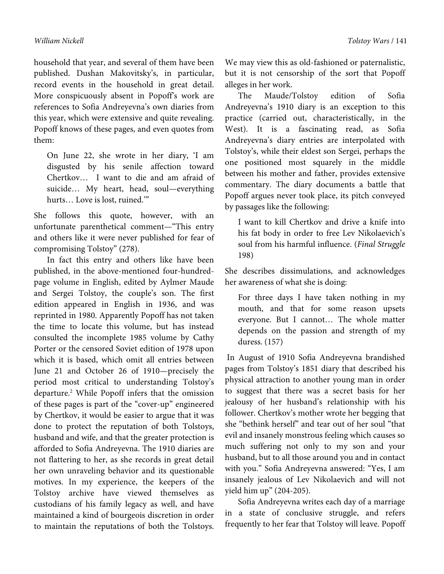household that year, and several of them have been published. Dushan Makovitsky's, in particular, record events in the household in great detail. More conspicuously absent in Popoff's work are references to Sofia Andreyevna's own diaries from this year, which were extensive and quite revealing. Popoff knows of these pages, and even quotes from them:

On June 22, she wrote in her diary, 'I am disgusted by his senile affection toward Chertkov… I want to die and am afraid of suicide… My heart, head, soul—everything hurts… Love is lost, ruined.'"

She follows this quote, however, with an unfortunate parenthetical comment—"This entry and others like it were never published for fear of compromising Tolstoy" (278).

In fact this entry and others like have been published, in the above-mentioned four-hundredpage volume in English, edited by Aylmer Maude and Sergei Tolstoy, the couple's son. The first edition appeared in English in 1936, and was reprinted in 1980. Apparently Popoff has not taken the time to locate this volume, but has instead consulted the incomplete 1985 volume by Cathy Porter or the censored Soviet edition of 1978 upon which it is based, which omit all entries between June 21 and October 26 of 1910—precisely the period most critical to understanding Tolstoy's departure.2 While Popoff infers that the omission of these pages is part of the "cover-up" engineered by Chertkov, it would be easier to argue that it was done to protect the reputation of both Tolstoys, husband and wife, and that the greater protection is afforded to Sofia Andreyevna. The 1910 diaries are not flattering to her, as she records in great detail her own unraveling behavior and its questionable motives. In my experience, the keepers of the Tolstoy archive have viewed themselves as custodians of his family legacy as well, and have maintained a kind of bourgeois discretion in order to maintain the reputations of both the Tolstoys.

We may view this as old-fashioned or paternalistic, but it is not censorship of the sort that Popoff alleges in her work.

The Maude/Tolstoy edition of Sofia Andreyevna's 1910 diary is an exception to this practice (carried out, characteristically, in the West). It is a fascinating read, as Sofia Andreyevna's diary entries are interpolated with Tolstoy's, while their eldest son Sergei, perhaps the one positioned most squarely in the middle between his mother and father, provides extensive commentary. The diary documents a battle that Popoff argues never took place, its pitch conveyed by passages like the following:

I want to kill Chertkov and drive a knife into his fat body in order to free Lev Nikolaevich's soul from his harmful influence. (Final Struggle 198)

She describes dissimulations, and acknowledges her awareness of what she is doing:

For three days I have taken nothing in my mouth, and that for some reason upsets everyone. But I cannot… The whole matter depends on the passion and strength of my duress. (157)

 In August of 1910 Sofia Andreyevna brandished pages from Tolstoy's 1851 diary that described his physical attraction to another young man in order to suggest that there was a secret basis for her jealousy of her husband's relationship with his follower. Chertkov's mother wrote her begging that she "bethink herself" and tear out of her soul "that evil and insanely monstrous feeling which causes so much suffering not only to my son and your husband, but to all those around you and in contact with you." Sofia Andreyevna answered: "Yes, I am insanely jealous of Lev Nikolaevich and will not yield him up" (204-205).

Sofia Andreyevna writes each day of a marriage in a state of conclusive struggle, and refers frequently to her fear that Tolstoy will leave. Popoff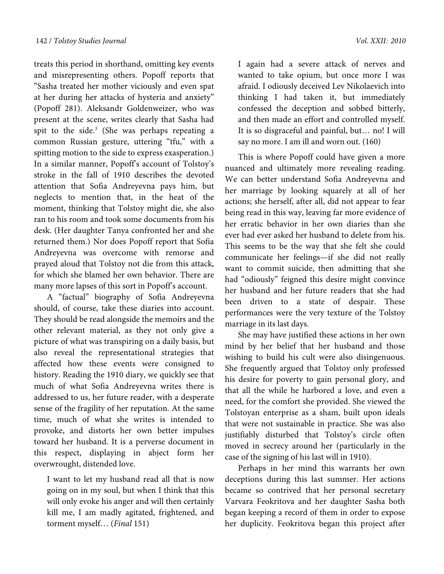treats this period in shorthand, omitting key events and misrepresenting others. Popoff reports that "Sasha treated her mother viciously and even spat at her during her attacks of hysteria and anxiety" (Popoff 281). Aleksandr Goldenweizer, who was present at the scene, writes clearly that Sasha had spit to the side.<sup>3</sup> (She was perhaps repeating a common Russian gesture, uttering "tfu," with a spitting motion to the side to express exasperation.) In a similar manner, Popoff's account of Tolstoy's stroke in the fall of 1910 describes the devoted attention that Sofia Andreyevna pays him, but neglects to mention that, in the heat of the moment, thinking that Tolstoy might die, she also ran to his room and took some documents from his desk. (Her daughter Tanya confronted her and she returned them.) Nor does Popoff report that Sofia Andreyevna was overcome with remorse and prayed aloud that Tolstoy not die from this attack, for which she blamed her own behavior. There are many more lapses of this sort in Popoff's account.

A "factual" biography of Sofia Andreyevna should, of course, take these diaries into account. They should be read alongside the memoirs and the other relevant material, as they not only give a picture of what was transpiring on a daily basis, but also reveal the representational strategies that affected how these events were consigned to history. Reading the 1910 diary, we quickly see that much of what Sofia Andreyevna writes there is addressed to us, her future reader, with a desperate sense of the fragility of her reputation. At the same time, much of what she writes is intended to provoke, and distorts her own better impulses toward her husband. It is a perverse document in this respect, displaying in abject form her overwrought, distended love.

I want to let my husband read all that is now going on in my soul, but when I think that this will only evoke his anger and will then certainly kill me, I am madly agitated, frightened, and torment myself... (Final 151)

I again had a severe attack of nerves and wanted to take opium, but once more I was afraid. I odiously deceived Lev Nikolaevich into thinking I had taken it, but immediately confessed the deception and sobbed bitterly, and then made an effort and controlled myself. It is so disgraceful and painful, but… no! I will say no more. I am ill and worn out. (160)

This is where Popoff could have given a more nuanced and ultimately more revealing reading. We can better understand Sofia Andreyevna and her marriage by looking squarely at all of her actions; she herself, after all, did not appear to fear being read in this way, leaving far more evidence of her erratic behavior in her own diaries than she ever had ever asked her husband to delete from his. This seems to be the way that she felt she could communicate her feelings—if she did not really want to commit suicide, then admitting that she had "odiously" feigned this desire might convince her husband and her future readers that she had been driven to a state of despair. These performances were the very texture of the Tolstoy marriage in its last days.

She may have justified these actions in her own mind by her belief that her husband and those wishing to build his cult were also disingenuous. She frequently argued that Tolstoy only professed his desire for poverty to gain personal glory, and that all the while he harbored a love, and even a need, for the comfort she provided. She viewed the Tolstoyan enterprise as a sham, built upon ideals that were not sustainable in practice. She was also justifiably disturbed that Tolstoy's circle often moved in secrecy around her (particularly in the case of the signing of his last will in 1910).

Perhaps in her mind this warrants her own deceptions during this last summer. Her actions became so contrived that her personal secretary Varvara Feokritova and her daughter Sasha both began keeping a record of them in order to expose her duplicity. Feokritova began this project after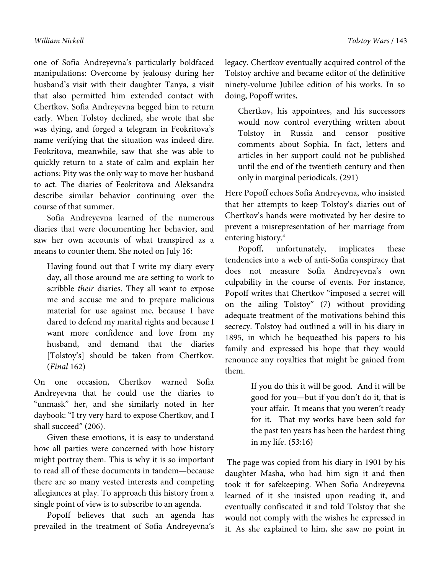one of Sofia Andreyevna's particularly boldfaced manipulations: Overcome by jealousy during her husband's visit with their daughter Tanya, a visit that also permitted him extended contact with Chertkov, Sofia Andreyevna begged him to return early. When Tolstoy declined, she wrote that she was dying, and forged a telegram in Feokritova's name verifying that the situation was indeed dire. Feokritova, meanwhile, saw that she was able to quickly return to a state of calm and explain her actions: Pity was the only way to move her husband to act. The diaries of Feokritova and Aleksandra describe similar behavior continuing over the course of that summer.

Sofia Andreyevna learned of the numerous diaries that were documenting her behavior, and saw her own accounts of what transpired as a means to counter them. She noted on July 16:

Having found out that I write my diary every day, all those around me are setting to work to scribble their diaries. They all want to expose me and accuse me and to prepare malicious material for use against me, because I have dared to defend my marital rights and because I want more confidence and love from my husband, and demand that the diaries [Tolstoy's] should be taken from Chertkov. (Final 162)

On one occasion, Chertkov warned Sofia Andreyevna that he could use the diaries to "unmask" her, and she similarly noted in her daybook: "I try very hard to expose Chertkov, and I shall succeed" (206).

Given these emotions, it is easy to understand how all parties were concerned with how history might portray them. This is why it is so important to read all of these documents in tandem—because there are so many vested interests and competing allegiances at play. To approach this history from a single point of view is to subscribe to an agenda.

Popoff believes that such an agenda has prevailed in the treatment of Sofia Andreyevna's legacy. Chertkov eventually acquired control of the Tolstoy archive and became editor of the definitive ninety-volume Jubilee edition of his works. In so doing, Popoff writes,

Chertkov, his appointees, and his successors would now control everything written about Tolstoy in Russia and censor positive comments about Sophia. In fact, letters and articles in her support could not be published until the end of the twentieth century and then only in marginal periodicals. (291)

Here Popoff echoes Sofia Andreyevna, who insisted that her attempts to keep Tolstoy's diaries out of Chertkov's hands were motivated by her desire to prevent a misrepresentation of her marriage from entering history.<sup>4</sup>

Popoff, unfortunately, implicates these tendencies into a web of anti-Sofia conspiracy that does not measure Sofia Andreyevna's own culpability in the course of events. For instance, Popoff writes that Chertkov "imposed a secret will on the ailing Tolstoy" (7) without providing adequate treatment of the motivations behind this secrecy. Tolstoy had outlined a will in his diary in 1895, in which he bequeathed his papers to his family and expressed his hope that they would renounce any royalties that might be gained from them.

> If you do this it will be good. And it will be good for you—but if you don't do it, that is your affair. It means that you weren't ready for it. That my works have been sold for the past ten years has been the hardest thing in my life. (53:16)

 The page was copied from his diary in 1901 by his daughter Masha, who had him sign it and then took it for safekeeping. When Sofia Andreyevna learned of it she insisted upon reading it, and eventually confiscated it and told Tolstoy that she would not comply with the wishes he expressed in it. As she explained to him, she saw no point in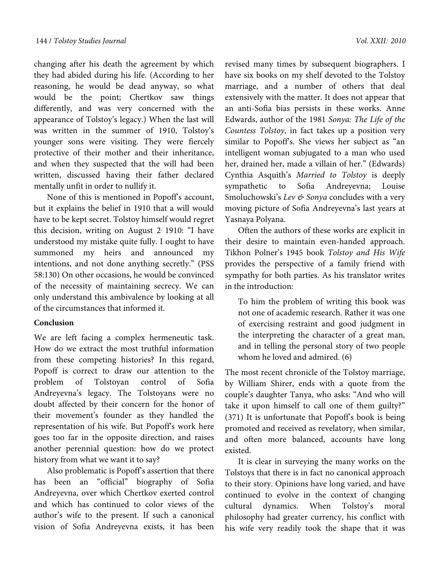changing after his death the agreement by which they had abided during his life. (According to her reasoning, he would be dead anyway, so what would be the point; Chertkov saw things differently, and was very concerned with the appearance of Tolstoy's legacy.) When the last will was written in the summer of 1910, Tolstoy's younger sons were visiting. They were fiercely protective of their mother and their inheritance, and when they suspected that the will had been written, discussed having their father declared mentally unfit in order to nullify it.

None of this is mentioned in Popoff's account, but it explains the belief in 1910 that a will would have to be kept secret. Tolstoy himself would regret this decision, writing on August 2, 1910: "I have understood my mistake quite fully. I ought to have summoned my heirs and announced my intentions, and not done anything secretly." (PSS 58:130) On other occasions, he would be convinced of the necessity of maintaining secrecy. We can only understand this ambivalence by looking at all of the circumstances that informed it.

### **Conclusion**

We are left facing a complex hermeneutic task. How do we extract the most truthful information from these competing histories? In this regard, Popoff is correct to draw our attention to the problem of Tolstoyan control of Sofia Andreyevna's legacy. The Tolstoyans were no doubt affected by their concern for the honor of their movement's founder as they handled the representation of his wife. But Popoff's work here goes too far in the opposite direction, and raises another perennial question: how do we protect history from what we want it to say?

Also problematic is Popoff's assertion that there has been an "official" biography of Sofia Andreyevna, over which Chertkov exerted control and which has continued to color views of the author's wife to the present. If such a canonical vision of Sofia Andreyevna exists, it has been

revised many times by subsequent biographers. I have six books on my shelf devoted to the Tolstoy marriage, and a number of others that deal extensively with the matter. It does not appear that an anti-Sofia bias persists in these works. Anne Edwards, author of the 1981 Sonya: The Life of the Countess Tolstoy, in fact takes up a position very similar to Popoff's. She views her subject as "an intelligent woman subjugated to a man who used her, drained her, made a villain of her." (Edwards) Cynthia Asquith's Married to Tolstoy is deeply sympathetic to Sofia Andreyevna; Louise Smoluchowski's Lev & Sonya concludes with a very moving picture of Sofia Andreyevna's last years at Yasnaya Polyana.

Often the authors of these works are explicit in their desire to maintain even-handed approach. Tikhon Polner's 1945 book Tolstoy and His Wife provides the perspective of a family friend with sympathy for both parties. As his translator writes in the introduction:

To him the problem of writing this book was not one of academic research. Rather it was one of exercising restraint and good judgment in the interpreting the character of a great man, and in telling the personal story of two people whom he loved and admired. (6)

The most recent chronicle of the Tolstoy marriage, by William Shirer, ends with a quote from the couple's daughter Tanya, who asks: "And who will take it upon himself to call one of them guilty?" (371) It is unfortunate that Popoff's book is being promoted and received as revelatory, when similar, and often more balanced, accounts have long existed.

It is clear in surveying the many works on the Tolstoys that there is in fact no canonical approach to their story. Opinions have long varied, and have continued to evolve in the context of changing cultural dynamics. When Tolstoy's moral philosophy had greater currency, his conflict with his wife very readily took the shape that it was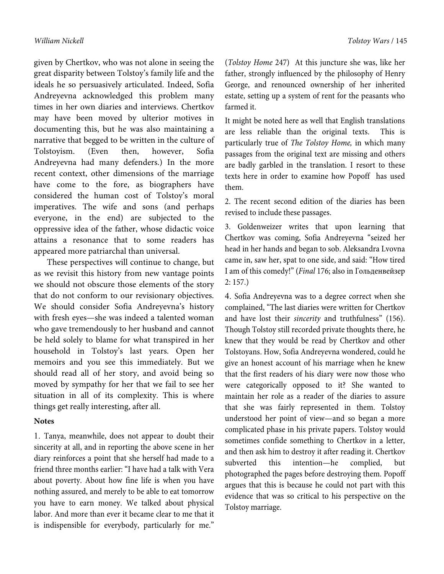given by Chertkov, who was not alone in seeing the great disparity between Tolstoy's family life and the ideals he so persuasively articulated. Indeed, Sofia Andreyevna acknowledged this problem many times in her own diaries and interviews. Chertkov may have been moved by ulterior motives in documenting this, but he was also maintaining a narrative that begged to be written in the culture of Tolstoyism. (Even then, however, Sofia Andreyevna had many defenders.) In the more recent context, other dimensions of the marriage have come to the fore, as biographers have considered the human cost of Tolstoy's moral imperatives. The wife and sons (and perhaps everyone, in the end) are subjected to the oppressive idea of the father, whose didactic voice attains a resonance that to some readers has appeared more patriarchal than universal.

These perspectives will continue to change, but as we revisit this history from new vantage points we should not obscure those elements of the story that do not conform to our revisionary objectives. We should consider Sofia Andreyevna's history with fresh eyes—she was indeed a talented woman who gave tremendously to her husband and cannot be held solely to blame for what transpired in her household in Tolstoy's last years. Open her memoirs and you see this immediately. But we should read all of her story, and avoid being so moved by sympathy for her that we fail to see her situation in all of its complexity. This is where things get really interesting, after all.

#### **Notes**

1. Tanya, meanwhile, does not appear to doubt their sincerity at all, and in reporting the above scene in her diary reinforces a point that she herself had made to a friend three months earlier: "I have had a talk with Vera about poverty. About how fine life is when you have nothing assured, and merely to be able to eat tomorrow you have to earn money. We talked about physical labor. And more than ever it became clear to me that it is indispensible for everybody, particularly for me."

(*Tolstoy Home* 247) At this juncture she was, like her father, strongly influenced by the philosophy of Henry George, and renounced ownership of her inherited estate, setting up a system of rent for the peasants who farmed it.

It might be noted here as well that English translations are less reliable than the original texts. This is particularly true of *The Tolstoy Home,* in which many passages from the original text are missing and others are badly garbled in the translation. I resort to these texts here in order to examine how Popoff has used them.

2. The recent second edition of the diaries has been revised to include these passages.

3. Goldenweizer writes that upon learning that Chertkov was coming, Sofia Andreyevna "seized her head in her hands and began to sob. Aleksandra Lvovna came in, saw her, spat to one side, and said: "How tired I am of this comedy!" (*Final* 176; also in Гольденвейзер 2: 157.)

4. Sofia Andreyevna was to a degree correct when she complained, "The last diaries were written for Chertkov and have lost their *sincerity* and truthfulness" (156). Though Tolstoy still recorded private thoughts there, he knew that they would be read by Chertkov and other Tolstoyans. How, Sofia Andreyevna wondered, could he give an honest account of his marriage when he knew that the first readers of his diary were now those who were categorically opposed to it? She wanted to maintain her role as a reader of the diaries to assure that she was fairly represented in them. Tolstoy understood her point of view—and so began a more complicated phase in his private papers. Tolstoy would sometimes confide something to Chertkov in a letter, and then ask him to destroy it after reading it. Chertkov subverted this intention—he complied, but photographed the pages before destroying them. Popoff argues that this is because he could not part with this evidence that was so critical to his perspective on the Tolstoy marriage.